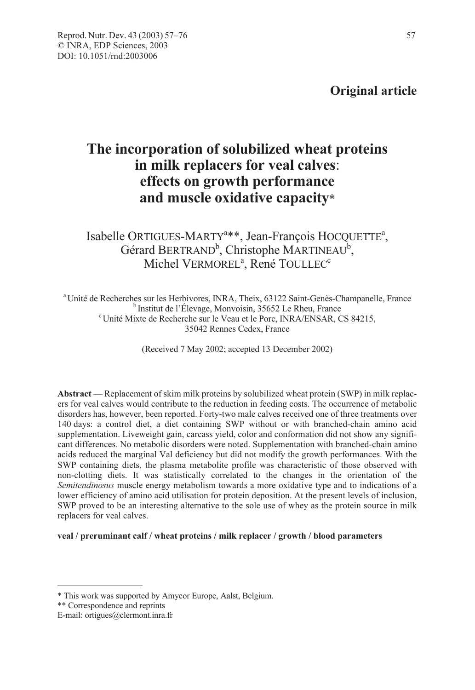# The incorporation of solubilized wheat proteins in milk replacers for veal calves: effects on growth performance and muscle oxidative capacity\*

Isabelle ORTIGUES-MARTY<sup>a\*\*</sup>, Jean-François HOCQUETTE<sup>a</sup>, Gérard BERTRAND<sup>b</sup>, Christophe MARTINEAU<sup>b</sup>, Michel VERMOREL<sup>a</sup>, René TOULLEC<sup>c</sup>

<sup>a</sup> Unité de Recherches sur les Herbivores, INRA, Theix, 63122 Saint-Genès-Champanelle, France<br><sup>b</sup> Institut de l'Élevage, Monvoisin, 35652 Le Rheu, France<br><sup>c</sup> Unité Mixto de Recherche cur le Veau et le Pere, INBA/ENSAR, C Unité Mixte de Recherche sur le Veau et le Porc, INRA/ENSAR, CS 84215, 35042 Rennes Cedex, France

(Received 7 May 2002; accepted 13 December 2002)

Abstract — Replacement of skim milk proteins by solubilized wheat protein (SWP) in milk replacers for veal calves would contribute to the reduction in feeding costs. The occurrence of metabolic disorders has, however, been reported. Forty-two male calves received one of three treatments over 140 days: a control diet, a diet containing SWP without or with branched-chain amino acid supplementation. Liveweight gain, carcass yield, color and conformation did not show any significant differences. No metabolic disorders were noted. Supplementation with branched-chain amino acids reduced the marginal Val deficiency but did not modify the growth performances. With the SWP containing diets, the plasma metabolite profile was characteristic of those observed with non-clotting diets. It was statistically correlated to the changes in the orientation of the Semitendinosus muscle energy metabolism towards a more oxidative type and to indications of a lower efficiency of amino acid utilisation for protein deposition. At the present levels of inclusion, SWP proved to be an interesting alternative to the sole use of whey as the protein source in milk replacers for veal calves.

#### veal / preruminant calf / wheat proteins / milk replacer / growth / blood parameters

<sup>\*</sup> This work was supported by Amycor Europe, Aalst, Belgium.

<sup>\*\*</sup> Correspondence and reprints

E-mail: ortigues@clermont.inra.fr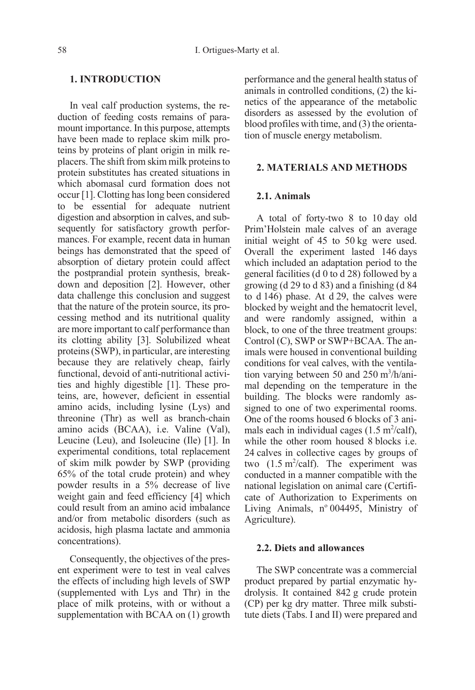## 1. INTRODUCTION

In veal calf production systems, the reduction of feeding costs remains of paramount importance. In this purpose, attempts have been made to replace skim milk proteins by proteins of plant origin in milk replacers. The shift from skim milk proteins to protein substitutes has created situations in which abomasal curd formation does not occur [1]. Clotting has long been considered to be essential for adequate nutrient digestion and absorption in calves, and subsequently for satisfactory growth performances. For example, recent data in human beings has demonstrated that the speed of absorption of dietary protein could affect the postprandial protein synthesis, breakdown and deposition [2]. However, other data challenge this conclusion and suggest that the nature of the protein source, its processing method and its nutritional quality are more important to calf performance than its clotting ability [3]. Solubilized wheat proteins (SWP), in particular, are interesting because they are relatively cheap, fairly functional, devoid of anti-nutritional activities and highly digestible [1]. These proteins, are, however, deficient in essential amino acids, including lysine (Lys) and threonine (Thr) as well as branch-chain amino acids (BCAA), i.e. Valine (Val), Leucine (Leu), and Isoleucine (Ile) [1]. In experimental conditions, total replacement of skim milk powder by SWP (providing 65% of the total crude protein) and whey powder results in a 5% decrease of live weight gain and feed efficiency [4] which could result from an amino acid imbalance and/or from metabolic disorders (such as acidosis, high plasma lactate and ammonia concentrations).

Consequently, the objectives of the present experiment were to test in veal calves the effects of including high levels of SWP (supplemented with Lys and Thr) in the place of milk proteins, with or without a supplementation with BCAA on (1) growth performance and the general health status of animals in controlled conditions, (2) the kinetics of the appearance of the metabolic disorders as assessed by the evolution of blood profiles with time, and (3) the orientation of muscle energy metabolism.

### 2. MATERIALS AND METHODS

### 2.1. Animals

A total of forty-two 8 to 10 day old Prim'Holstein male calves of an average initial weight of 45 to 50 kg were used. Overall the experiment lasted 146 days which included an adaptation period to the general facilities (d 0 to d 28) followed by a growing (d 29 to d 83) and a finishing (d 84 to d 146) phase. At d 29, the calves were blocked by weight and the hematocrit level, and were randomly assigned, within a block, to one of the three treatment groups: Control (C), SWP or SWP+BCAA. The animals were housed in conventional building conditions for veal calves, with the ventilation varying between 50 and 250 m<sup>3</sup>/h/animal depending on the temperature in the building. The blocks were randomly assigned to one of two experimental rooms. One of the rooms housed 6 blocks of 3 animals each in individual cages  $(1.5 \text{ m}^2/\text{calf})$ , while the other room housed 8 blocks i.e. 24 calves in collective cages by groups of two  $(1.5 \text{ m}^2/\text{calf})$ . The experiment was conducted in a manner compatible with the national legislation on animal care (Certificate of Authorization to Experiments on Living Animals,  $n^{\circ}$  004495, Ministry of Agriculture).

#### 2.2. Diets and allowances

The SWP concentrate was a commercial product prepared by partial enzymatic hydrolysis. It contained 842 g crude protein (CP) per kg dry matter. Three milk substitute diets (Tabs. I and II) were prepared and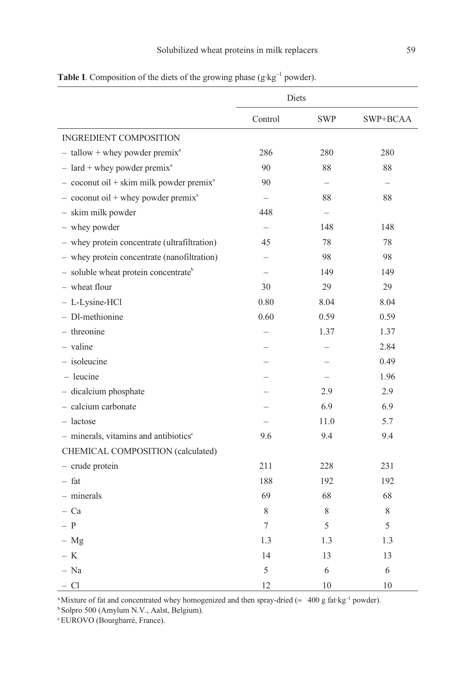|                                                        | Diets                    |            |          |  |
|--------------------------------------------------------|--------------------------|------------|----------|--|
|                                                        | Control                  | <b>SWP</b> | SWP+BCAA |  |
| <b>INGREDIENT COMPOSITION</b>                          |                          |            |          |  |
| $-$ tallow + whey powder premix <sup>a</sup>           | 286                      | 280        | 280      |  |
| $-$ lard + whey powder premix <sup>a</sup>             | 90                       | 88         | 88       |  |
| $-$ coconut oil + skim milk powder premix <sup>a</sup> | 90                       |            |          |  |
| $-$ coconut oil + whey powder premix <sup>a</sup>      | $\overline{\phantom{0}}$ | 88         | 88       |  |
| - skim milk powder                                     | 448                      |            |          |  |
| - whey powder                                          |                          | 148        | 148      |  |
| - whey protein concentrate (ultrafiltration)           | 45                       | 78         | 78       |  |
| - whey protein concentrate (nanofiltration)            |                          | 98         | 98       |  |
| - soluble wheat protein concentrate <sup>b</sup>       | $\overline{\phantom{0}}$ | 149        | 149      |  |
| - wheat flour                                          | 30                       | 29         | 29       |  |
| - L-Lysine-HCl                                         | 0.80                     | 8.04       | 8.04     |  |
| - Dl-methionine                                        | 0.60                     | 0.59       | 0.59     |  |
| - threonine                                            |                          | 1.37       | 1.37     |  |
| - valine                                               |                          |            | 2.84     |  |
| - isoleucine                                           |                          |            | 0.49     |  |
| $-$ leucine                                            |                          |            | 1.96     |  |
| - dicalcium phosphate                                  |                          | 2.9        | 2.9      |  |
| - calcium carbonate                                    |                          | 6.9        | 6.9      |  |
| $-$ lactose                                            |                          | 11.0       | 5.7      |  |
| $-$ minerals, vitamins and antibiotics $\epsilon$      | 9.6                      | 9.4        | 9.4      |  |
| CHEMICAL COMPOSITION (calculated)                      |                          |            |          |  |
| - crude protein                                        | 211                      | 228        | 231      |  |
| $-$ fat                                                | 188                      | 192        | 192      |  |
| - minerals                                             | 69                       | 68         | 68       |  |
| – Ca                                                   | 8                        | 8          | 8        |  |
| – P                                                    | 7                        | 5          | 5        |  |
| $- Mg$                                                 | 1.3                      | 1.3        | 1.3      |  |
| $-$ K                                                  | 14                       | 13         | 13       |  |
| - Na                                                   | 5                        | 6          | 6        |  |
| $-CI$                                                  | 12                       | 10         | 10       |  |

**Table I**. Composition of the diets of the growing phase ( $g$ ·kg<sup>-1</sup> powder).

<sup>a</sup>Mixture of fat and concentrated whey homogenized and then spray-dried ( $\approx 400$  g fat·kg<sup>-1</sup> powder).

<sup>b</sup>Solpro 500 (Amylum N.V., Aalst, Belgium).

cEUROVO (Bourgbarré, France).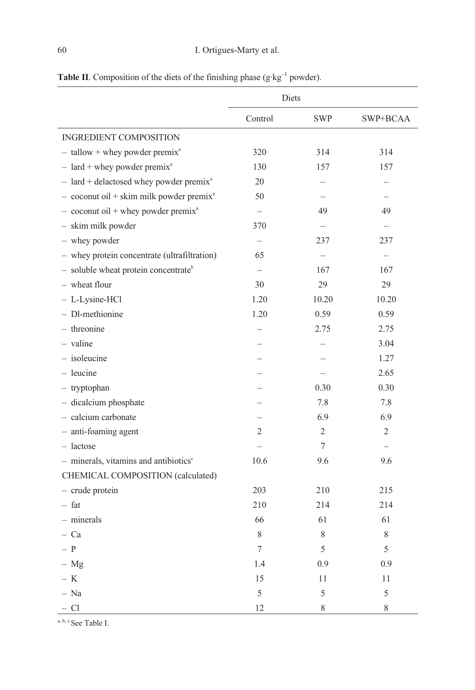|                                                                      | Diets   |                |                |
|----------------------------------------------------------------------|---------|----------------|----------------|
|                                                                      | Control | <b>SWP</b>     | SWP+BCAA       |
| INGREDIENT COMPOSITION                                               |         |                |                |
| $-$ tallow + whey powder premix <sup>a</sup>                         | 320     | 314            | 314            |
| $-$ lard + whey powder premix <sup>a</sup>                           | 130     | 157            | 157            |
| $-$ lard + delactosed whey powder premix <sup>a</sup>                | 20      |                |                |
| $-$ coconut oil + skim milk powder premix <sup>a</sup>               | 50      |                |                |
| $-$ coconut oil + whey powder premix <sup>a</sup>                    |         | 49             | 49             |
| - skim milk powder                                                   | 370     |                |                |
| - whey powder                                                        |         | 237            | 237            |
| - whey protein concentrate (ultrafiltration)                         | 65      |                |                |
| $-$ soluble wheat protein concentrate <sup>b</sup>                   |         | 167            | 167            |
| - wheat flour                                                        | 30      | 29             | 29             |
| - L-Lysine-HCl                                                       | 1.20    | 10.20          | 10.20          |
| - Dl-methionine                                                      | 1.20    | 0.59           | 0.59           |
| - threonine                                                          |         | 2.75           | 2.75           |
| $-$ valine                                                           |         |                | 3.04           |
| $-$ isoleucine                                                       |         |                | 1.27           |
| $-$ leucine                                                          |         |                | 2.65           |
| - tryptophan                                                         |         | 0.30           | 0.30           |
| - dicalcium phosphate                                                |         | 7.8            | 7.8            |
| - calcium carbonate                                                  |         | 6.9            | 6.9            |
| - anti-foaming agent                                                 | 2       | $\overline{c}$ | $\overline{2}$ |
| $-$ lactose                                                          |         | 7              |                |
| $-$ minerals, vitamins and antibiotics <sup><math>\circ</math></sup> | 10.6    | 9.6            | 9.6            |
| CHEMICAL COMPOSITION (calculated)                                    |         |                |                |
| - crude protein                                                      | 203     | 210            | 215            |
| $-$ fat                                                              | 210     | 214            | 214            |
| - minerals                                                           | 66      | 61             | 61             |
| $-$ Ca                                                               | 8       | 8              | 8              |
| $-$ P                                                                | 7       | 5              | 5              |
| $- Mg$                                                               | 1.4     | 0.9            | 0.9            |
| – K                                                                  | 15      | 11             | 11             |
| $- Na$                                                               | 5       | 5              | 5              |
| $-Cl$                                                                | 12      | 8              | 8              |

Table II. Composition of the diets of the finishing phase ( $g \cdot kg^{-1}$  powder).

a, b, c See Table I.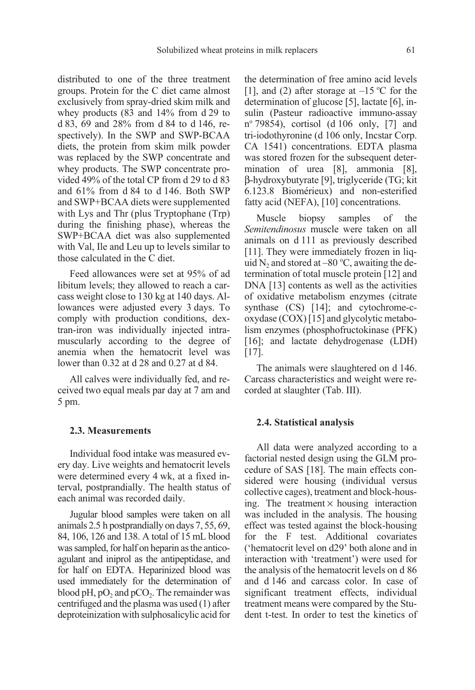distributed to one of the three treatment groups. Protein for the C diet came almost exclusively from spray-dried skim milk and whey products (83 and 14% from d 29 to d 83, 69 and 28% from d 84 to d 146, respectively). In the SWP and SWP-BCAA diets, the protein from skim milk powder was replaced by the SWP concentrate and whey products. The SWP concentrate provided 49% of the total CP from d 29 to d 83 and 61% from d 84 to d 146. Both SWP and SWP+BCAA diets were supplemented with Lys and Thr (plus Tryptophane (Trp) during the finishing phase), whereas the SWP+BCAA diet was also supplemented with Val, Ile and Leu up to levels similar to those calculated in the C diet.

Feed allowances were set at 95% of ad libitum levels; they allowed to reach a carcass weight close to 130 kg at 140 days. Allowances were adjusted every 3 days. To comply with production conditions, dextran-iron was individually injected intramuscularly according to the degree of anemia when the hematocrit level was lower than 0.32 at d 28 and 0.27 at d 84.

All calves were individually fed, and received two equal meals par day at 7 am and 5 pm.

### 2.3. Measurements

Individual food intake was measured every day. Live weights and hematocrit levels were determined every 4 wk, at a fixed interval, postprandially. The health status of each animal was recorded daily.

Jugular blood samples were taken on all animals 2.5 h postprandially on days 7, 55, 69, 84, 106, 126 and 138. A total of 15 mL blood was sampled, for half on heparin as the anticoagulant and iniprol as the antipeptidase, and for half on EDTA. Heparinized blood was used immediately for the determination of blood pH,  $pO_2$  and  $pCO_2$ . The remainder was centrifuged and the plasma was used (1) after deproteinization with sulphosalicylic acid for the determination of free amino acid levels [1], and (2) after storage at  $-15$  °C for the determination of glucose [5], lactate [6], insulin (Pasteur radioactive immuno-assay nº 79854), cortisol (d 106 only, [7] and tri-iodothyronine (d 106 only, Incstar Corp. CA 1541) concentrations. EDTA plasma was stored frozen for the subsequent determination of urea [8], ammonia [8], β-hydroxybutyrate [9], triglyceride (TG; kit 6.123.8 Biomérieux) and non-esterified fatty acid (NEFA), [10] concentrations.

Muscle biopsy samples of the Semitendinosus muscle were taken on all animals on d 111 as previously described [11]. They were immediately frozen in liquid  $N_2$  and stored at –80 °C, awaiting the determination of total muscle protein [12] and DNA [13] contents as well as the activities of oxidative metabolism enzymes (citrate synthase (CS) [14]; and cytochrome-coxydase (COX) [15] and glycolytic metabolism enzymes (phosphofructokinase (PFK) [16]; and lactate dehydrogenase (LDH) [17].

The animals were slaughtered on d 146. Carcass characteristics and weight were recorded at slaughter (Tab. III).

#### 2.4. Statistical analysis

All data were analyzed according to a factorial nested design using the GLM procedure of SAS [18]. The main effects considered were housing (individual versus collective cages), treatment and block-housing. The treatment  $\times$  housing interaction was included in the analysis. The housing effect was tested against the block-housing for the F test. Additional covariates ('hematocrit level on d29' both alone and in interaction with 'treatment') were used for the analysis of the hematocrit levels on d 86 and d 146 and carcass color. In case of significant treatment effects, individual treatment means were compared by the Student t-test. In order to test the kinetics of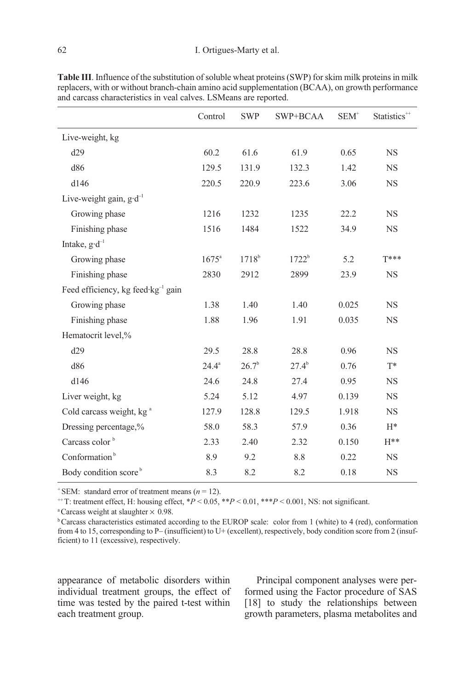|                                                | Control        | <b>SWP</b> | SWP+BCAA   | $SEM^+$ | Statistics <sup>++</sup> |
|------------------------------------------------|----------------|------------|------------|---------|--------------------------|
| Live-weight, kg                                |                |            |            |         |                          |
| d29                                            | 60.2           | 61.6       | 61.9       | 0.65    | <b>NS</b>                |
| d86                                            | 129.5          | 131.9      | 132.3      | 1.42    | <b>NS</b>                |
| d146                                           | 220.5          | 220.9      | 223.6      | 3.06    | $_{\rm NS}$              |
| Live-weight gain, $g \cdot d^{-1}$             |                |            |            |         |                          |
| Growing phase                                  | 1216           | 1232       | 1235       | 22.2    | <b>NS</b>                |
| Finishing phase                                | 1516           | 1484       | 1522       | 34.9    | <b>NS</b>                |
| Intake, $g \cdot d^{-1}$                       |                |            |            |         |                          |
| Growing phase                                  | $1675^{\circ}$ | $1718^{b}$ | $1722^b$   | 5.2     | T***                     |
| Finishing phase                                | 2830           | 2912       | 2899       | 23.9    | <b>NS</b>                |
| Feed efficiency, kg feed kg <sup>-1</sup> gain |                |            |            |         |                          |
| Growing phase                                  | 1.38           | 1.40       | 1.40       | 0.025   | $_{\rm NS}$              |
| Finishing phase                                | 1.88           | 1.96       | 1.91       | 0.035   | <b>NS</b>                |
| Hematocrit level,%                             |                |            |            |         |                          |
| d29                                            | 29.5           | 28.8       | 28.8       | 0.96    | <b>NS</b>                |
| d86                                            | $24.4^a$       | $26.7^{b}$ | $27.4^{b}$ | 0.76    | $T^*$                    |
| d146                                           | 24.6           | 24.8       | 27.4       | 0.95    | <b>NS</b>                |
| Liver weight, kg                               | 5.24           | 5.12       | 4.97       | 0.139   | <b>NS</b>                |
| Cold carcass weight, kg <sup>a</sup>           | 127.9          | 128.8      | 129.5      | 1.918   | $_{\rm NS}$              |
| Dressing percentage,%                          | 58.0           | 58.3       | 57.9       | 0.36    | $H^*$                    |
| Carcass color <sup>b</sup>                     | 2.33           | 2.40       | 2.32       | 0.150   | $H^{**}$                 |
| Conformation <sup>b</sup>                      | 8.9            | 9.2        | 8.8        | 0.22    | <b>NS</b>                |
| Body condition score <sup>b</sup>              | 8.3            | 8.2        | 8.2        | 0.18    | <b>NS</b>                |

Table III. Influence of the substitution of soluble wheat proteins (SWP) for skim milk proteins in milk replacers, with or without branch-chain amino acid supplementation (BCAA), on growth performance and carcass characteristics in veal calves. LSMeans are reported.

<sup>+</sup> SEM: standard error of treatment means ( $n = 12$ ).

<sup>++</sup>T: treatment effect, H: housing effect,  $*P < 0.05$ ,  $*P < 0.01$ ,  $**P < 0.001$ , NS: not significant.

<sup>a</sup> Carcass weight at slaughter  $\times$  0.98.

<sup>b</sup>Carcass characteristics estimated according to the EUROP scale: color from 1 (white) to 4 (red), conformation from 4 to 15, corresponding to P– (insufficient) to U+ (excellent), respectively, body condition score from 2 (insufficient) to 11 (excessive), respectively.

appearance of metabolic disorders within individual treatment groups, the effect of time was tested by the paired t-test within each treatment group.

Principal component analyses were performed using the Factor procedure of SAS [18] to study the relationships between growth parameters, plasma metabolites and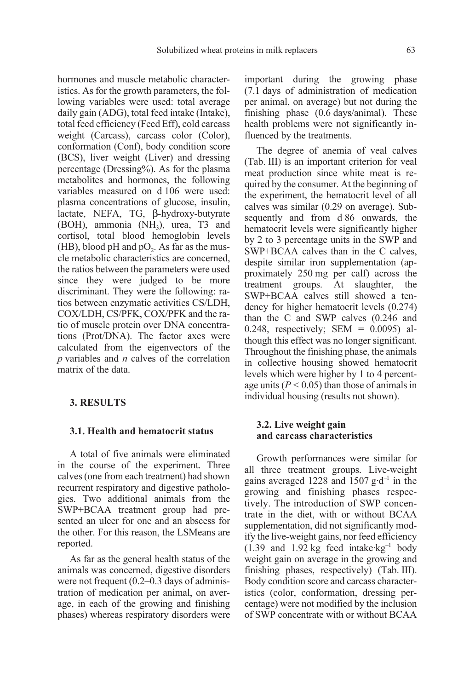hormones and muscle metabolic characteristics. As for the growth parameters, the following variables were used: total average daily gain (ADG), total feed intake (Intake), total feed efficiency (Feed Eff), cold carcass weight (Carcass), carcass color (Color), conformation (Conf), body condition score (BCS), liver weight (Liver) and dressing percentage (Dressing%). As for the plasma metabolites and hormones, the following variables measured on d 106 were used: plasma concentrations of glucose, insulin, lactate, NEFA, TG, β-hydroxy-butyrate (BOH), ammonia (NH<sub>3</sub>), urea, T3 and cortisol, total blood hemoglobin levels (HB), blood pH and  $pO_2$ . As far as the muscle metabolic characteristics are concerned, the ratios between the parameters were used since they were judged to be more discriminant. They were the following: ratios between enzymatic activities CS/LDH, COX/LDH, CS/PFK, COX/PFK and the ratio of muscle protein over DNA concentrations (Prot/DNA). The factor axes were calculated from the eigenvectors of the  $p$  variables and  $n$  calves of the correlation matrix of the data.

## 3. RESULTS

#### 3.1. Health and hematocrit status

A total of five animals were eliminated in the course of the experiment. Three calves (one from each treatment) had shown recurrent respiratory and digestive pathologies. Two additional animals from the SWP+BCAA treatment group had presented an ulcer for one and an abscess for the other. For this reason, the LSMeans are reported.

As far as the general health status of the animals was concerned, digestive disorders were not frequent (0.2–0.3 days of administration of medication per animal, on average, in each of the growing and finishing phases) whereas respiratory disorders were important during the growing phase (7.1 days of administration of medication per animal, on average) but not during the finishing phase (0.6 days/animal). These health problems were not significantly influenced by the treatments.

The degree of anemia of veal calves (Tab. III) is an important criterion for veal meat production since white meat is required by the consumer. At the beginning of the experiment, the hematocrit level of all calves was similar (0.29 on average). Subsequently and from d 86 onwards, the hematocrit levels were significantly higher by 2 to 3 percentage units in the SWP and SWP+BCAA calves than in the C calves, despite similar iron supplementation (approximately 250 mg per calf) across the treatment groups. At slaughter, the SWP+BCAA calves still showed a tendency for higher hematocrit levels (0.274) than the C and SWP calves (0.246 and 0.248, respectively; SEM = 0.0095) although this effect was no longer significant. Throughout the finishing phase, the animals in collective housing showed hematocrit levels which were higher by 1 to 4 percentage units ( $P < 0.05$ ) than those of animals in individual housing (results not shown).

#### 3.2. Live weight gain and carcass characteristics

Growth performances were similar for all three treatment groups. Live-weight gains averaged 1228 and 1507  $g \cdot d^{-1}$  in the growing and finishing phases respectively. The introduction of SWP concentrate in the diet, with or without BCAA supplementation, did not significantly modify the live-weight gains, nor feed efficiency  $(1.39 \text{ and } 1.92 \text{ kg} \text{ feed intake} \cdot \text{kg}^{-1} \text{ body})$ weight gain on average in the growing and finishing phases, respectively) (Tab. III). Body condition score and carcass characteristics (color, conformation, dressing percentage) were not modified by the inclusion of SWP concentrate with or without BCAA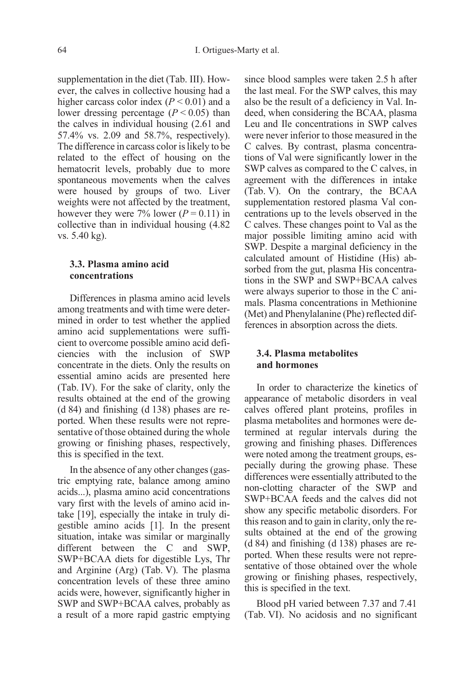supplementation in the diet (Tab. III). However, the calves in collective housing had a higher carcass color index  $(P < 0.01)$  and a lower dressing percentage ( $P < 0.05$ ) than the calves in individual housing (2.61 and 57.4% vs. 2.09 and 58.7%, respectively). The difference in carcass color is likely to be related to the effect of housing on the hematocrit levels, probably due to more spontaneous movements when the calves were housed by groups of two. Liver weights were not affected by the treatment, however they were 7% lower  $(P = 0.11)$  in collective than in individual housing (4.82 vs. 5.40 kg).

#### 3.3. Plasma amino acid concentrations

Differences in plasma amino acid levels among treatments and with time were determined in order to test whether the applied amino acid supplementations were sufficient to overcome possible amino acid deficiencies with the inclusion of SWP concentrate in the diets. Only the results on essential amino acids are presented here (Tab. IV). For the sake of clarity, only the results obtained at the end of the growing (d 84) and finishing (d 138) phases are reported. When these results were not representative of those obtained during the whole growing or finishing phases, respectively, this is specified in the text.

In the absence of any other changes (gastric emptying rate, balance among amino acids...), plasma amino acid concentrations vary first with the levels of amino acid intake [19], especially the intake in truly digestible amino acids [1]. In the present situation, intake was similar or marginally different between the C and SWP, SWP+BCAA diets for digestible Lys, Thr and Arginine (Arg) (Tab. V). The plasma concentration levels of these three amino acids were, however, significantly higher in SWP and SWP+BCAA calves, probably as a result of a more rapid gastric emptying since blood samples were taken 2.5 h after the last meal. For the SWP calves, this may also be the result of a deficiency in Val. Indeed, when considering the BCAA, plasma Leu and Ile concentrations in SWP calves were never inferior to those measured in the C calves. By contrast, plasma concentrations of Val were significantly lower in the SWP calves as compared to the C calves, in agreement with the differences in intake (Tab. V). On the contrary, the BCAA supplementation restored plasma Val concentrations up to the levels observed in the C calves. These changes point to Val as the major possible limiting amino acid with SWP. Despite a marginal deficiency in the calculated amount of Histidine (His) absorbed from the gut, plasma His concentrations in the SWP and SWP+BCAA calves were always superior to those in the C animals. Plasma concentrations in Methionine (Met) and Phenylalanine (Phe) reflected differences in absorption across the diets.

## 3.4. Plasma metabolites and hormones

In order to characterize the kinetics of appearance of metabolic disorders in veal calves offered plant proteins, profiles in plasma metabolites and hormones were determined at regular intervals during the growing and finishing phases. Differences were noted among the treatment groups, especially during the growing phase. These differences were essentially attributed to the non-clotting character of the SWP and SWP+BCAA feeds and the calves did not show any specific metabolic disorders. For this reason and to gain in clarity, only the results obtained at the end of the growing (d 84) and finishing (d 138) phases are reported. When these results were not representative of those obtained over the whole growing or finishing phases, respectively, this is specified in the text.

Blood pH varied between 7.37 and 7.41 (Tab. VI). No acidosis and no significant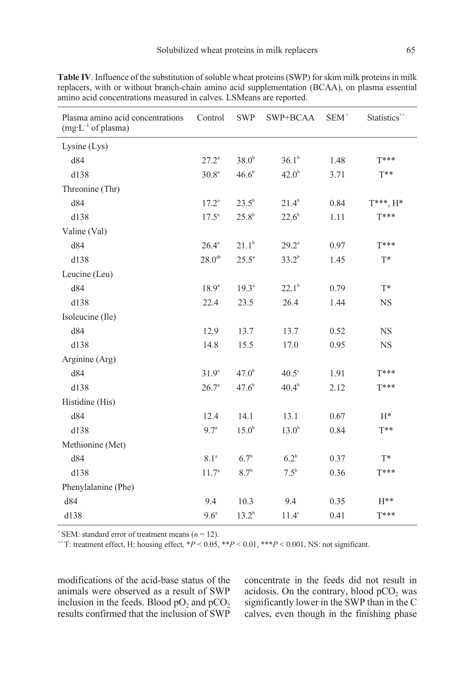| Plasma amino acid concentrations<br>$(mg \cdot L^{-1} \text{ of plasma})$ | Control           | <b>SWP</b>        | SWP+BCAA          | $SEM^+$ | Statistics <sup>++</sup> |
|---------------------------------------------------------------------------|-------------------|-------------------|-------------------|---------|--------------------------|
| Lysine (Lys)                                                              |                   |                   |                   |         |                          |
| d84                                                                       | $27.2^{\circ}$    | 38.0 <sup>b</sup> | $36.1^{b}$        | 1.48    | $T***$                   |
| d138                                                                      | 30.8 <sup>a</sup> | $46.6^{\rm b}$    | $42.0^{b}$        | 3.71    | $T^{**}$                 |
| Threonine (Thr)                                                           |                   |                   |                   |         |                          |
| d84                                                                       | $17.2^{\circ}$    | $23.5^{\rm b}$    | $21.4^b$          | 0.84    | $T^{***}, H^{*}$         |
| d138                                                                      | $17.5^{\circ}$    | $25.8^{b}$        | $22.6^b$          | 1.11    | $T***$                   |
| Valine (Val)                                                              |                   |                   |                   |         |                          |
| d84                                                                       | $26.4^{\circ}$    | $21.1^b$          | $29.2^{\circ}$    | 0.97    | $T***$                   |
| d138                                                                      | $28.0^{ab}$       | $25.5^{\circ}$    | $33.2^{b}$        | 1.45    | $T^*$                    |
| Leucine (Leu)                                                             |                   |                   |                   |         |                          |
| d84                                                                       | $18.9^{a}$        | $19.3^{\circ}$    | $22.1^b$          | 0.79    | $T^*$                    |
| d138                                                                      | 22.4              | 23.5              | 26.4              | 1.44    | <b>NS</b>                |
| Isoleucine (Ile)                                                          |                   |                   |                   |         |                          |
| d84                                                                       | 12.9              | 13.7              | 13.7              | 0.52    | <b>NS</b>                |
| d138                                                                      | 14.8              | 15.5              | 17.0              | 0.95    | <b>NS</b>                |
| Arginine (Arg)                                                            |                   |                   |                   |         |                          |
| d84                                                                       | $31.9^{a}$        | $47.0^{b}$        | $40.5^\circ$      | 1.91    | $T***$                   |
| d138                                                                      | 26.7 <sup>a</sup> | 47.6 <sup>b</sup> | $40.4^{b}$        | 2.12    | $T***$                   |
| Histidine (His)                                                           |                   |                   |                   |         |                          |
| d84                                                                       | 12.4              | 14.1              | 13.1              | 0.67    | $H^*$                    |
| d138                                                                      | 9.7 <sup>a</sup>  | 15.0 <sup>b</sup> | 13.0 <sup>b</sup> | 0.84    | $T^{**}$                 |
| Methionine (Met)                                                          |                   |                   |                   |         |                          |
| d84                                                                       | 8.1 <sup>a</sup>  | 6.7 <sup>b</sup>  | $6.2^b$           | 0.37    | $T^*$                    |
| d138                                                                      | 11.7 <sup>a</sup> | 8.7 <sup>b</sup>  | $7.5^{\rm b}$     | 0.36    | $T***$                   |
| Phenylalanine (Phe)                                                       |                   |                   |                   |         |                          |
| d84                                                                       | 9.4               | 10.3              | 9.4               | 0.35    | $H^{**}$                 |
| d138                                                                      | 9.6 <sup>a</sup>  | $13.2^{b}$        | $11.4^\circ$      | 0.41    | $T***$                   |

Table IV. Influence of the substitution of soluble wheat proteins (SWP) for skim milk proteins in milk replacers, with or without branch-chain amino acid supplementation (BCAA), on plasma essential amino acid concentrations measured in calves. LSMeans are reported.

 $+$  SEM: standard error of treatment means ( $n = 12$ ).

 $+$ T: treatment effect, H: housing effect,  $*P < 0.05$ ,  $*$  $*P < 0.01$ ,  $*$  $*$  $*P < 0.001$ , NS: not significant.

modifications of the acid-base status of the animals were observed as a result of SWP inclusion in the feeds. Blood  $pO_2$  and  $pCO_2$ results confirmed that the inclusion of SWP concentrate in the feeds did not result in acidosis. On the contrary, blood  $pCO<sub>2</sub>$  was significantly lower in the SWP than in the C calves, even though in the finishing phase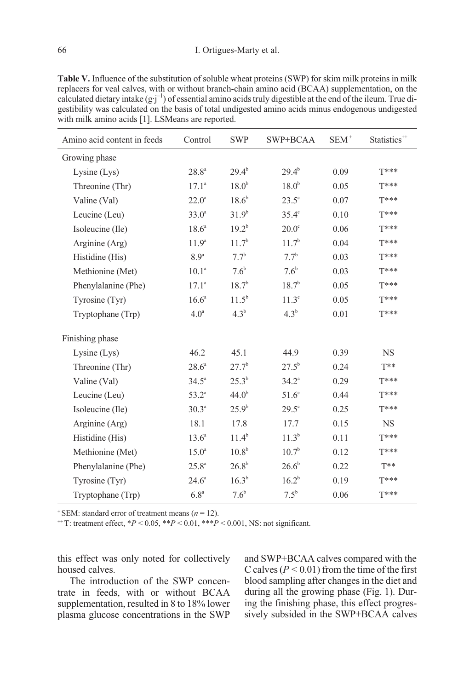Table V. Influence of the substitution of soluble wheat proteins (SWP) for skim milk proteins in milk replacers for veal calves, with or without branch-chain amino acid (BCAA) supplementation, on the calculated dietary intake  $(g \cdot j^{-1})$  of essential amino acids truly digestible at the end of the ileum. True digestibility was calculated on the basis of total undigested amino acids minus endogenous undigested with milk amino acids [1]. LSMeans are reported.

| Amino acid content in feeds | Control           | <b>SWP</b>         | $SWP + BCAA$      | $SEM^+$ | Statistics <sup>**</sup> |
|-----------------------------|-------------------|--------------------|-------------------|---------|--------------------------|
| Growing phase               |                   |                    |                   |         |                          |
| Lysine $(Lys)$              | $28.8^{\circ}$    | $29.4^{\rm b}$     | $29.4^{b}$        | 0.09    | $T***$                   |
| Threonine (Thr)             | $17.1^{\circ}$    | 18.0 <sup>b</sup>  | $18.0^{b}$        | 0.05    | $T***$                   |
| Valine (Val)                | $22.0^{\circ}$    | $18.6^{b}$         | $23.5^\circ$      | 0.07    | $T***$                   |
| Leucine (Leu)               | $33.0^{\circ}$    | 31.9 <sup>b</sup>  | $35.4^\circ$      | 0.10    | $T***$                   |
| Isoleucine (Ile)            | $18.6^{\circ}$    | $19.2^{b}$         | $20.0^\circ$      | 0.06    | $T***$                   |
| Arginine (Arg)              | 11.9 <sup>a</sup> | 11.7 <sup>b</sup>  | 11.7 <sup>b</sup> | 0.04    | $T***$                   |
| Histidine (His)             | 8.9 <sup>a</sup>  | $7.7^{\rm b}$      | $7.7^{\rm b}$     | 0.03    | $T***$                   |
| Methionine (Met)            | $10.1^{\circ}$    | $7.6^{\mathrm{b}}$ | $7.6^{\circ}$     | 0.03    | $T***$                   |
| Phenylalanine (Phe)         | $17.1^{\circ}$    | $18.7^{b}$         | $18.7^{b}$        | 0.05    | $T***$                   |
| Tyrosine (Tyr)              | 16.6 <sup>a</sup> | $11.5^{\rm b}$     | $11.3^\circ$      | 0.05    | $T***$                   |
| Tryptophane (Trp)           | 4.0 <sup>a</sup>  | $4.3^{b}$          | $4.3^{b}$         | 0.01    | $T***$                   |
| Finishing phase             |                   |                    |                   |         |                          |
| Lysine (Lys)                | 46.2              | 45.1               | 44.9              | 0.39    | <b>NS</b>                |
| Threonine (Thr)             | $28.6^{\circ}$    | $27.7^b$           | $27.5^{\rm b}$    | 0.24    | $T^{**}$                 |
| Valine (Val)                | $34.5^{\circ}$    | $25.3^{b}$         | $34.2^{\circ}$    | 0.29    | $T***$                   |
| Leucine (Leu)               | $53.2^{\circ}$    | 44.0 <sup>b</sup>  | $51.6^\circ$      | 0.44    | $T***$                   |
| Isoleucine (Ile)            | $30.3^{a}$        | $25.9^{b}$         | $29.5^\circ$      | 0.25    | $T***$                   |
| Arginine (Arg)              | 18.1              | 17.8               | 17.7              | 0.15    | <b>NS</b>                |
| Histidine (His)             | $13.6^{\circ}$    | $11.4^{\circ}$     | $11.3^b$          | 0.11    | $T***$                   |
| Methionine (Met)            | $15.0^{\circ}$    | $10.8^{\rm b}$     | $10.7^{\rm b}$    | 0.12    | $T***$                   |
| Phenylalanine (Phe)         | $25.8^{\circ}$    | $26.8^{b}$         | $26.6^{\rm b}$    | 0.22    | $T^{**}$                 |
| Tyrosine (Tyr)              | $24.6^{\circ}$    | $16.3^{b}$         | $16.2^{b}$        | 0.19    | $T***$                   |
| Tryptophane (Trp)           | 6.8 <sup>a</sup>  | 7.6 <sup>b</sup>   | $7.5^{\rm b}$     | 0.06    | $T***$                   |

<sup>+</sup> SEM: standard error of treatment means  $(n = 12)$ .

 $^{++}$ T: treatment effect,  $^{*}P < 0.05$ ,  $^{*}P < 0.01$ ,  $^{*}P < 0.001$ , NS: not significant.

this effect was only noted for collectively housed calves.

The introduction of the SWP concentrate in feeds, with or without BCAA supplementation, resulted in 8 to 18% lower plasma glucose concentrations in the SWP and SWP+BCAA calves compared with the C calves ( $P < 0.01$ ) from the time of the first blood sampling after changes in the diet and during all the growing phase (Fig. 1). During the finishing phase, this effect progressively subsided in the SWP+BCAA calves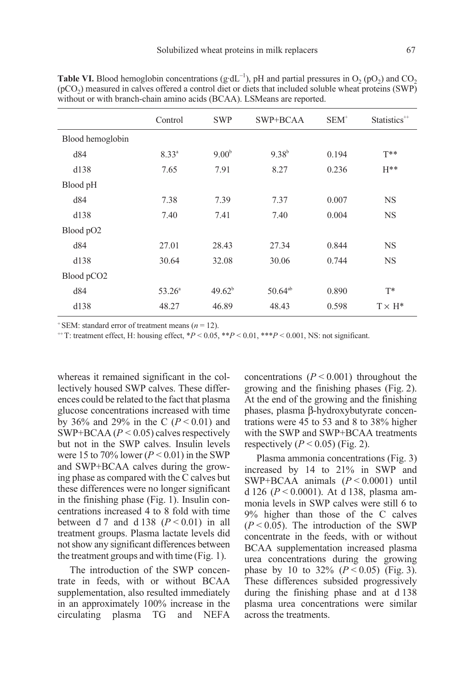|                        | Control         | <b>SWP</b>        | SWP+BCAA     | $SEM^+$ | Statistics <sup>**</sup> |
|------------------------|-----------------|-------------------|--------------|---------|--------------------------|
| Blood hemoglobin       |                 |                   |              |         |                          |
| d84                    | $8.33^{a}$      | 9.00 <sup>b</sup> | $9.38^{b}$   | 0.194   | $T^{**}$                 |
| d138                   | 7.65            | 7.91              | 8.27         | 0.236   | $H^{**}$                 |
| Blood pH               |                 |                   |              |         |                          |
| d84                    | 7.38            | 7.39              | 7.37         | 0.007   | <b>NS</b>                |
| d138                   | 7.40            | 7.41              | 7.40         | 0.004   | <b>NS</b>                |
| Blood pO <sub>2</sub>  |                 |                   |              |         |                          |
| d84                    | 27.01           | 28.43             | 27.34        | 0.844   | <b>NS</b>                |
| d138                   | 30.64           | 32.08             | 30.06        | 0.744   | <b>NS</b>                |
| Blood pCO <sub>2</sub> |                 |                   |              |         |                          |
| d84                    | $53.26^{\circ}$ | $49.62^{b}$       | $50.64^{ab}$ | 0.890   | $T^*$                    |
| d138                   | 48.27           | 46.89             | 48.43        | 0.598   | $T \times H^*$           |
|                        |                 |                   |              |         |                          |

**Table VI.** Blood hemoglobin concentrations (g·dL<sup>-1</sup>), pH and partial pressures in O<sub>2</sub> (pO<sub>2</sub>) and CO<sub>2</sub>  $(pCO<sub>2</sub>)$  measured in calves offered a control diet or diets that included soluble wheat proteins (SWP) without or with branch-chain amino acids (BCAA). LSMeans are reported.

<sup>+</sup> SEM: standard error of treatment means ( $n = 12$ ).

 $^{++}$ T: treatment effect, H: housing effect,  $^{*}P$  < 0.05,  $^{*}P$  < 0.01,  $^{*}P$  < 0.001, NS: not significant.

whereas it remained significant in the collectively housed SWP calves. These differences could be related to the fact that plasma glucose concentrations increased with time by 36% and 29% in the C ( $P < 0.01$ ) and SWP+BCAA ( $P < 0.05$ ) calves respectively but not in the SWP calves. Insulin levels were 15 to 70% lower ( $P < 0.01$ ) in the SWP and SWP+BCAA calves during the growing phase as compared with the C calves but these differences were no longer significant in the finishing phase (Fig. 1). Insulin concentrations increased 4 to 8 fold with time between d 7 and d 138  $(P < 0.01)$  in all treatment groups. Plasma lactate levels did not show any significant differences between the treatment groups and with time (Fig. 1).

The introduction of the SWP concentrate in feeds, with or without BCAA supplementation, also resulted immediately in an approximately 100% increase in the circulating plasma TG and NEFA concentrations  $(P < 0.001)$  throughout the growing and the finishing phases (Fig. 2). At the end of the growing and the finishing phases, plasma β-hydroxybutyrate concentrations were 45 to 53 and 8 to 38% higher with the SWP and SWP+BCAA treatments respectively ( $P < 0.05$ ) (Fig. 2).

Plasma ammonia concentrations (Fig. 3) increased by 14 to 21% in SWP and SWP+BCAA animals  $(P < 0.0001)$  until d 126 ( $P < 0.0001$ ). At d 138, plasma ammonia levels in SWP calves were still 6 to 9% higher than those of the C calves  $(P < 0.05)$ . The introduction of the SWP concentrate in the feeds, with or without BCAA supplementation increased plasma urea concentrations during the growing phase by 10 to 32%  $(P < 0.05)$  (Fig. 3). These differences subsided progressively during the finishing phase and at d 138 plasma urea concentrations were similar across the treatments.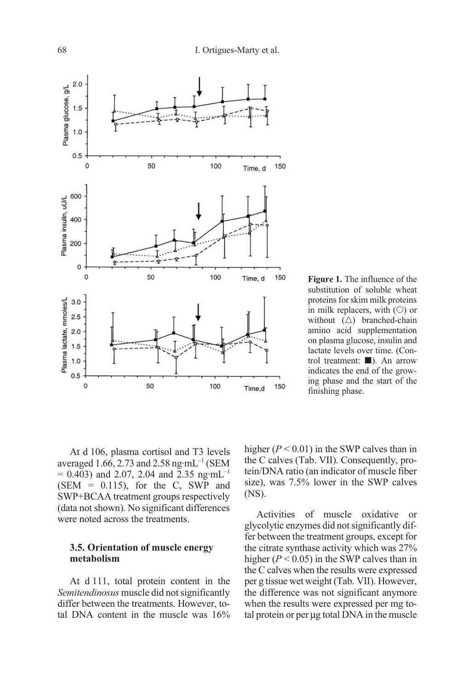

Figure 1. The influence of the substitution of soluble wheat proteins for skim milk proteins in milk replacers, with  $(O)$  or without  $(\triangle)$  branched-chain amino acid supplementation on plasma glucose, insulin and lactate levels over time. (Control treatment:  $\blacksquare$ ). An arrow indicates the end of the growing phase and the start of the finishing phase.

At d 106, plasma cortisol and T3 levels averaged 1.66, 2.73 and 2.58 ng·mL<sup>-1</sup> (SEM  $= 0.403$ ) and 2.07, 2.04 and 2.35 ng·mL<sup>-1</sup>  $(SEM = 0.115)$ , for the C, SWP and SWP+BCAA treatment groups respectively (data not shown). No significant differences were noted across the treatments.

#### 3.5. Orientation of muscle energy metabolism

At d 111, total protein content in the Semitendinosus muscle did not significantly differ between the treatments. However, total DNA content in the muscle was 16% higher ( $P < 0.01$ ) in the SWP calves than in the C calves (Tab. VII). Consequently, protein/DNA ratio (an indicator of muscle fiber size), was 7.5% lower in the SWP calves (NS).

Activities of muscle oxidative or glycolytic enzymes did not significantly differ between the treatment groups, except for the citrate synthase activity which was 27% higher ( $P < 0.05$ ) in the SWP calves than in the C calves when the results were expressed per g tissue wet weight (Tab. VII). However, the difference was not significant anymore when the results were expressed per mg total protein or per µg total DNA in the muscle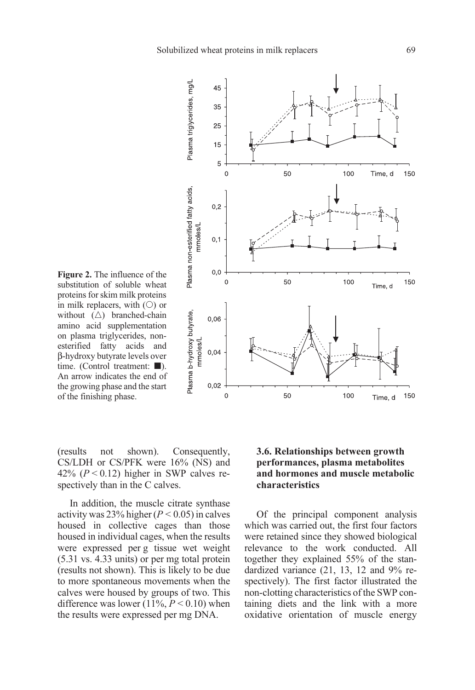$\overline{0}$ 

 $0,2$ 

 $0.0$  $\mathbf 0$ 

 $0,06$ 

 $0,02$  $\overline{0}$ 

Plasma triglycerides, mg/L

Plasma non-esterified fatty acids,

Plasma b-hydroxy butyrate,

mmoles/L  $0,04$ 

mmoles/L  $0.1$ 



Figure 2. The influence of the substitution of soluble wheat proteins for skim milk proteins in milk replacers, with  $(O)$  or without  $(\triangle)$  branched-chain amino acid supplementation on plasma triglycerides, nonesterified fatty acids and β-hydroxy butyrate levels over time. (Control treatment:  $\blacksquare$ ). An arrow indicates the end of the growing phase and the start of the finishing phase.

(results not shown). Consequently, CS/LDH or CS/PFK were 16% (NS) and 42% ( $P < 0.12$ ) higher in SWP calves respectively than in the C calves.

In addition, the muscle citrate synthase activity was  $23\%$  higher ( $P < 0.05$ ) in calves housed in collective cages than those housed in individual cages, when the results were expressed per g tissue wet weight (5.31 vs. 4.33 units) or per mg total protein (results not shown). This is likely to be due to more spontaneous movements when the calves were housed by groups of two. This difference was lower (11%,  $P \le 0.10$ ) when the results were expressed per mg DNA.

## 3.6. Relationships between growth performances, plasma metabolites and hormones and muscle metabolic characteristics

100

150

Time, d

50

Of the principal component analysis which was carried out, the first four factors were retained since they showed biological relevance to the work conducted. All together they explained 55% of the standardized variance (21, 13, 12 and 9% respectively). The first factor illustrated the non-clotting characteristics of the SWP containing diets and the link with a more oxidative orientation of muscle energy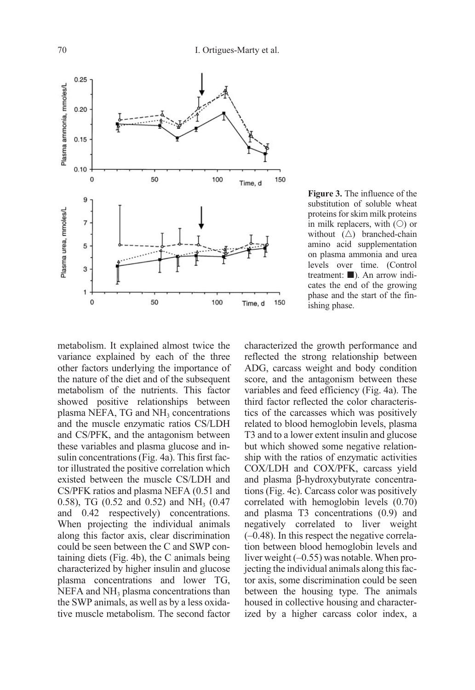

Figure 3. The influence of the substitution of soluble wheat proteins for skim milk proteins in milk replacers, with  $(O)$  or without  $(\triangle)$  branched-chain amino acid supplementation on plasma ammonia and urea levels over time. (Control treatment:  $\blacksquare$ ). An arrow indicates the end of the growing phase and the start of the finishing phase.

metabolism. It explained almost twice the variance explained by each of the three other factors underlying the importance of the nature of the diet and of the subsequent metabolism of the nutrients. This factor showed positive relationships between plasma NEFA,  $TG$  and  $NH<sub>3</sub>$  concentrations and the muscle enzymatic ratios CS/LDH and CS/PFK, and the antagonism between these variables and plasma glucose and insulin concentrations (Fig. 4a). This first factor illustrated the positive correlation which existed between the muscle CS/LDH and CS/PFK ratios and plasma NEFA (0.51 and 0.58), TG (0.52 and 0.52) and  $NH<sub>3</sub>$  (0.47) and 0.42 respectively) concentrations. When projecting the individual animals along this factor axis, clear discrimination could be seen between the C and SWP containing diets (Fig. 4b), the C animals being characterized by higher insulin and glucose plasma concentrations and lower TG,  $NEFA$  and  $NH<sub>3</sub>$  plasma concentrations than the SWP animals, as well as by a less oxidative muscle metabolism. The second factor

characterized the growth performance and reflected the strong relationship between ADG, carcass weight and body condition score, and the antagonism between these variables and feed efficiency (Fig. 4a). The third factor reflected the color characteristics of the carcasses which was positively related to blood hemoglobin levels, plasma T3 and to a lower extent insulin and glucose but which showed some negative relationship with the ratios of enzymatic activities COX/LDH and COX/PFK, carcass yield and plasma β-hydroxybutyrate concentrations (Fig. 4c). Carcass color was positively correlated with hemoglobin levels (0.70) and plasma T3 concentrations (0.9) and negatively correlated to liver weight (–0.48). In this respect the negative correlation between blood hemoglobin levels and liver weight (–0.55) was notable. When projecting the individual animals along this factor axis, some discrimination could be seen between the housing type. The animals housed in collective housing and characterized by a higher carcass color index, a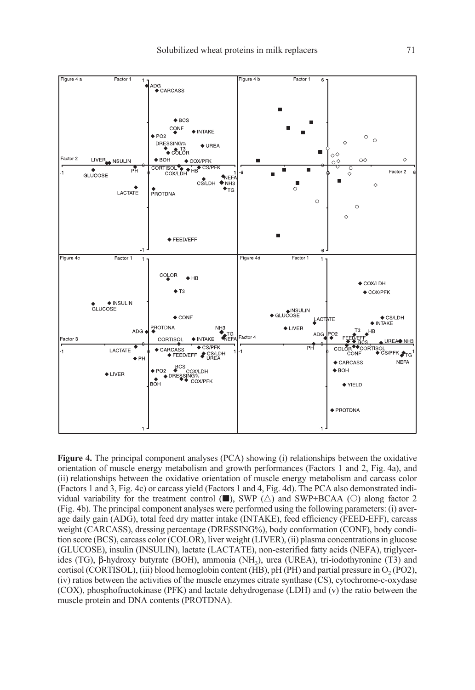

Figure 4. The principal component analyses (PCA) showing (i) relationships between the oxidative orientation of muscle energy metabolism and growth performances (Factors 1 and 2, Fig. 4a), and (ii) relationships between the oxidative orientation of muscle energy metabolism and carcass color (Factors 1 and 3, Fig. 4c) or carcass yield (Factors 1 and 4, Fig. 4d). The PCA also demonstrated individual variability for the treatment control  $(\blacksquare)$ , SWP  $(\triangle)$  and SWP+BCAA  $(\bigcirc)$  along factor 2 (Fig. 4b). The principal component analyses were performed using the following parameters: (i) average daily gain (ADG), total feed dry matter intake (INTAKE), feed efficiency (FEED-EFF), carcass weight (CARCASS), dressing percentage (DRESSING%), body conformation (CONF), body condition score (BCS), carcass color (COLOR), liver weight (LIVER), (ii) plasma concentrations in glucose (GLUCOSE), insulin (INSULIN), lactate (LACTATE), non-esterified fatty acids (NEFA), triglycerides (TG), β-hydroxy butyrate (BOH), ammonia (NH<sub>3</sub>), urea (UREA), tri-iodothyronine (T3) and cortisol (CORTISOL), (iii) blood hemoglobin content (HB), pH (PH) and partial pressure in  $O<sub>2</sub>$  (PO2), (iv) ratios between the activities of the muscle enzymes citrate synthase (CS), cytochrome-c-oxydase (COX), phosphofructokinase (PFK) and lactate dehydrogenase (LDH) and (v) the ratio between the muscle protein and DNA contents (PROTDNA).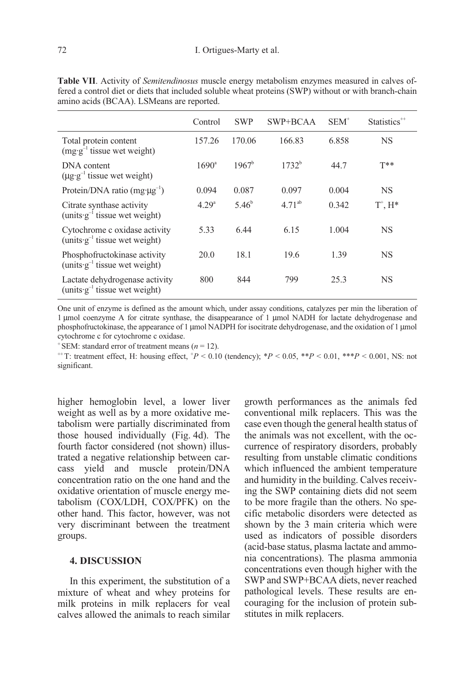|                                                                      | Control           | <b>SWP</b>     | SWP+BCAA    | $SEM^+$ | Statistics <sup>**</sup> |
|----------------------------------------------------------------------|-------------------|----------------|-------------|---------|--------------------------|
| Total protein content<br>$(mg \cdot g^{-1})$ tissue wet weight)      | 157.26            | 170.06         | 166.83      | 6.858   | <b>NS</b>                |
| DNA content<br>$(\mu \circ g^{-1})$ tissue wet weight)               | $1690^{\circ}$    | $1967^b$       | $1732^b$    | 44.7    | $T**$                    |
| Protein/DNA ratio $(mg \cdot \mu g^{-1})$                            | 0.094             | 0.087          | 0.097       | 0.004   | NS                       |
| Citrate synthase activity<br>(units $g^{-1}$ tissue wet weight)      | 4.29 <sup>a</sup> | $5.46^{\circ}$ | $4.71^{ab}$ | 0.342   | $T^*$ , $H^*$            |
| Cytochrome c oxidase activity<br>(units $g^{-1}$ tissue wet weight)  | 5.33              | 6.44           | 6.15        | 1.004   | NS                       |
| Phosphofructokinase activity<br>(units $g^{-1}$ tissue wet weight)   | 20.0              | 18.1           | 19.6        | 1.39    | NS                       |
| Lactate dehydrogenase activity<br>(units $g^{-1}$ tissue wet weight) | 800               | 844            | 799         | 25.3    | NS                       |

Table VII. Activity of *Semitendinosus* muscle energy metabolism enzymes measured in calves offered a control diet or diets that included soluble wheat proteins (SWP) without or with branch-chain amino acids (BCAA). LSMeans are reported.

One unit of enzyme is defined as the amount which, under assay conditions, catalyzes per min the liberation of 1 µmol coenzyme A for citrate synthase, the disappearance of 1 µmol NADH for lactate dehydrogenase and phosphofructokinase, the appearance of 1 µmol NADPH for isocitrate dehydrogenase, and the oxidation of 1 µmol cytochrome c for cytochrome c oxidase.

 $+$  SEM: standard error of treatment means ( $n = 12$ ).

<sup>++</sup>T: treatment effect, H: housing effect,  $P < 0.10$  (tendency);  ${}^*P < 0.05$ ,  ${}^*{}^*P < 0.01$ ,  ${}^*{}^*P < 0.001$ , NS: not significant.

higher hemoglobin level, a lower liver weight as well as by a more oxidative metabolism were partially discriminated from those housed individually (Fig. 4d). The fourth factor considered (not shown) illustrated a negative relationship between carcass yield and muscle protein/DNA concentration ratio on the one hand and the oxidative orientation of muscle energy metabolism (COX/LDH, COX/PFK) on the other hand. This factor, however, was not very discriminant between the treatment groups.

#### 4. DISCUSSION

In this experiment, the substitution of a mixture of wheat and whey proteins for milk proteins in milk replacers for veal calves allowed the animals to reach similar

growth performances as the animals fed conventional milk replacers. This was the case even though the general health status of the animals was not excellent, with the occurrence of respiratory disorders, probably resulting from unstable climatic conditions which influenced the ambient temperature and humidity in the building. Calves receiving the SWP containing diets did not seem to be more fragile than the others. No specific metabolic disorders were detected as shown by the 3 main criteria which were used as indicators of possible disorders (acid-base status, plasma lactate and ammonia concentrations). The plasma ammonia concentrations even though higher with the SWP and SWP+BCAA diets, never reached pathological levels. These results are encouraging for the inclusion of protein substitutes in milk replacers.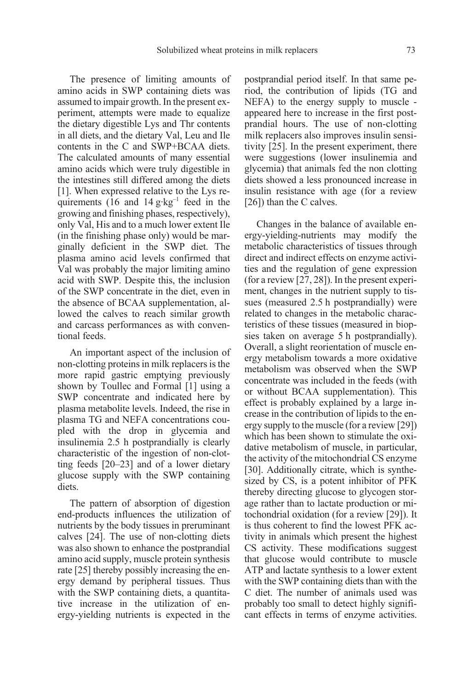The presence of limiting amounts of amino acids in SWP containing diets was assumed to impair growth. In the present experiment, attempts were made to equalize the dietary digestible Lys and Thr contents in all diets, and the dietary Val, Leu and Ile contents in the C and SWP+BCAA diets. The calculated amounts of many essential amino acids which were truly digestible in the intestines still differed among the diets [1]. When expressed relative to the Lys requirements (16 and  $14 \text{ g} \cdot \text{kg}^{-1}$  feed in the growing and finishing phases, respectively), only Val, His and to a much lower extent Ile (in the finishing phase only) would be marginally deficient in the SWP diet. The plasma amino acid levels confirmed that Val was probably the major limiting amino acid with SWP. Despite this, the inclusion of the SWP concentrate in the diet, even in the absence of BCAA supplementation, allowed the calves to reach similar growth and carcass performances as with conventional feeds.

An important aspect of the inclusion of non-clotting proteins in milk replacers is the more rapid gastric emptying previously shown by Toullec and Formal [1] using a SWP concentrate and indicated here by plasma metabolite levels. Indeed, the rise in plasma TG and NEFA concentrations coupled with the drop in glycemia and insulinemia 2.5 h postprandially is clearly characteristic of the ingestion of non-clotting feeds [20–23] and of a lower dietary glucose supply with the SWP containing diets.

The pattern of absorption of digestion end-products influences the utilization of nutrients by the body tissues in preruminant calves [24]. The use of non-clotting diets was also shown to enhance the postprandial amino acid supply, muscle protein synthesis rate [25] thereby possibly increasing the energy demand by peripheral tissues. Thus with the SWP containing diets, a quantitative increase in the utilization of energy-yielding nutrients is expected in the postprandial period itself. In that same period, the contribution of lipids (TG and NEFA) to the energy supply to muscle appeared here to increase in the first postprandial hours. The use of non-clotting milk replacers also improves insulin sensitivity [25]. In the present experiment, there were suggestions (lower insulinemia and glycemia) that animals fed the non clotting diets showed a less pronounced increase in insulin resistance with age (for a review [26]) than the C calves.

Changes in the balance of available energy-yielding-nutrients may modify the metabolic characteristics of tissues through direct and indirect effects on enzyme activities and the regulation of gene expression (for a review [27, 28]). In the present experiment, changes in the nutrient supply to tissues (measured 2.5 h postprandially) were related to changes in the metabolic characteristics of these tissues (measured in biopsies taken on average 5 h postprandially). Overall, a slight reorientation of muscle energy metabolism towards a more oxidative metabolism was observed when the SWP concentrate was included in the feeds (with or without BCAA supplementation). This effect is probably explained by a large increase in the contribution of lipids to the energy supply to the muscle (for a review [29]) which has been shown to stimulate the oxidative metabolism of muscle, in particular, the activity of the mitochondrial CS enzyme [30]. Additionally citrate, which is synthesized by CS, is a potent inhibitor of PFK thereby directing glucose to glycogen storage rather than to lactate production or mitochondrial oxidation (for a review [29]). It is thus coherent to find the lowest PFK activity in animals which present the highest CS activity. These modifications suggest that glucose would contribute to muscle ATP and lactate synthesis to a lower extent with the SWP containing diets than with the C diet. The number of animals used was probably too small to detect highly significant effects in terms of enzyme activities.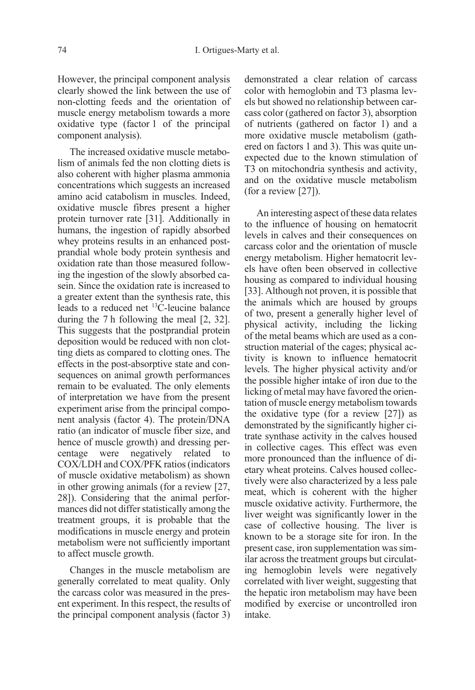However, the principal component analysis clearly showed the link between the use of non-clotting feeds and the orientation of muscle energy metabolism towards a more oxidative type (factor 1 of the principal component analysis).

The increased oxidative muscle metabolism of animals fed the non clotting diets is also coherent with higher plasma ammonia concentrations which suggests an increased amino acid catabolism in muscles. Indeed, oxidative muscle fibres present a higher protein turnover rate [31]. Additionally in humans, the ingestion of rapidly absorbed whey proteins results in an enhanced postprandial whole body protein synthesis and oxidation rate than those measured following the ingestion of the slowly absorbed casein. Since the oxidation rate is increased to a greater extent than the synthesis rate, this leads to a reduced net 13C-leucine balance during the 7 h following the meal [2, 32]. This suggests that the postprandial protein deposition would be reduced with non clotting diets as compared to clotting ones. The effects in the post-absorptive state and consequences on animal growth performances remain to be evaluated. The only elements of interpretation we have from the present experiment arise from the principal component analysis (factor 4). The protein/DNA ratio (an indicator of muscle fiber size, and hence of muscle growth) and dressing percentage were negatively related to COX/LDH and COX/PFK ratios (indicators of muscle oxidative metabolism) as shown in other growing animals (for a review [27, 28]). Considering that the animal performances did not differ statistically among the treatment groups, it is probable that the modifications in muscle energy and protein metabolism were not sufficiently important to affect muscle growth.

Changes in the muscle metabolism are generally correlated to meat quality. Only the carcass color was measured in the present experiment. In this respect, the results of the principal component analysis (factor 3)

demonstrated a clear relation of carcass color with hemoglobin and T3 plasma levels but showed no relationship between carcass color (gathered on factor 3), absorption of nutrients (gathered on factor 1) and a more oxidative muscle metabolism (gathered on factors 1 and 3). This was quite unexpected due to the known stimulation of T3 on mitochondria synthesis and activity, and on the oxidative muscle metabolism (for a review [27]).

An interesting aspect of these data relates to the influence of housing on hematocrit levels in calves and their consequences on carcass color and the orientation of muscle energy metabolism. Higher hematocrit levels have often been observed in collective housing as compared to individual housing [33]. Although not proven, it is possible that the animals which are housed by groups of two, present a generally higher level of physical activity, including the licking of the metal beams which are used as a construction material of the cages; physical activity is known to influence hematocrit levels. The higher physical activity and/or the possible higher intake of iron due to the licking of metal may have favored the orientation of muscle energy metabolism towards the oxidative type (for a review [27]) as demonstrated by the significantly higher citrate synthase activity in the calves housed in collective cages. This effect was even more pronounced than the influence of dietary wheat proteins. Calves housed collectively were also characterized by a less pale meat, which is coherent with the higher muscle oxidative activity. Furthermore, the liver weight was significantly lower in the case of collective housing. The liver is known to be a storage site for iron. In the present case, iron supplementation was similar across the treatment groups but circulating hemoglobin levels were negatively correlated with liver weight, suggesting that the hepatic iron metabolism may have been modified by exercise or uncontrolled iron intake.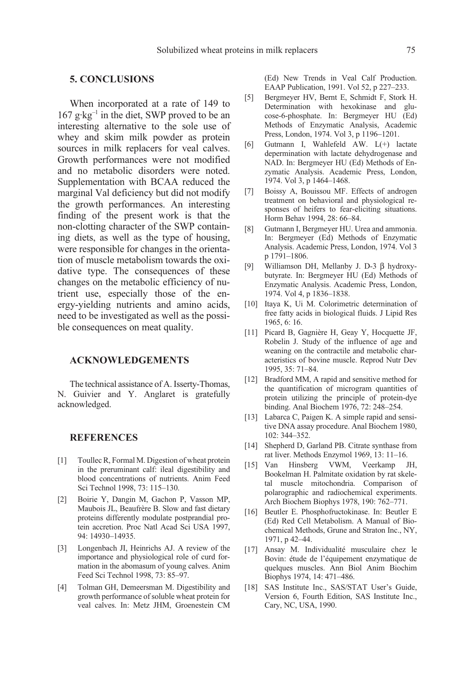## 5. CONCLUSIONS

When incorporated at a rate of 149 to  $167$  g·kg<sup>-1</sup> in the diet, SWP proved to be an interesting alternative to the sole use of whey and skim milk powder as protein sources in milk replacers for veal calves. Growth performances were not modified and no metabolic disorders were noted. Supplementation with BCAA reduced the marginal Val deficiency but did not modify the growth performances. An interesting finding of the present work is that the non-clotting character of the SWP containing diets, as well as the type of housing, were responsible for changes in the orientation of muscle metabolism towards the oxidative type. The consequences of these changes on the metabolic efficiency of nutrient use, especially those of the energy-yielding nutrients and amino acids, need to be investigated as well as the possible consequences on meat quality.

### ACKNOWLEDGEMENTS

The technical assistance of A. Isserty-Thomas, N. Guivier and Y. Anglaret is gratefully acknowledged.

#### **REFERENCES**

- [1] Toullec R, Formal M. Digestion of wheat protein in the preruminant calf: ileal digestibility and blood concentrations of nutrients. Anim Feed Sci Technol 1998, 73: 115–130.
- [2] Boirie Y, Dangin M, Gachon P, Vasson MP, Maubois JL, Beaufrère B. Slow and fast dietary proteins differently modulate postprandial protein accretion. Proc Natl Acad Sci USA 1997, 94: 14930–14935.
- [3] Longenbach JI, Heinrichs AJ. A review of the importance and physiological role of curd formation in the abomasum of young calves. Anim Feed Sci Technol 1998, 73: 85–97.
- [4] Tolman GH, Demeersman M. Digestibility and growth performance of soluble wheat protein for veal calves. In: Metz JHM, Groenestein CM

(Ed) New Trends in Veal Calf Production. EAAP Publication, 1991. Vol 52, p 227–233.

- [5] Bergmeyer HV, Bernt E, Schmidt F, Stork H. Determination with hexokinase and glucose-6-phosphate. In: Bergmeyer HU (Ed) Methods of Enzymatic Analysis, Academic Press, London, 1974. Vol 3, p 1196–1201.
- [6] Gutmann I, Wahlefeld AW. L(+) lactate depermination with lactate dehydrogenase and NAD. In: Bergmeyer HU (Ed) Methods of Enzymatic Analysis. Academic Press, London, 1974. Vol 3, p 1464–1468.
- [7] Boissy A, Bouissou MF. Effects of androgen treatment on behavioral and physiological responses of heifers to fear-eliciting situations. Horm Behav 1994, 28: 66–84.
- [8] Gutmann I, Bergmeyer HU. Urea and ammonia. In: Bergmeyer (Ed) Methods of Enzymatic Analysis. Academic Press, London, 1974. Vol 3 p 1791–1806.
- [9] Williamson DH, Mellanby J. D-3 β hydroxybutyrate. In: Bergmeyer HU (Ed) Methods of Enzymatic Analysis. Academic Press, London, 1974. Vol 4, p 1836–1838.
- [10] Itaya K, Ui M. Colorimetric determination of free fatty acids in biological fluids. J Lipid Res 1965, 6: 16.
- [11] Picard B, Gagnière H, Geay Y, Hocquette JF, Robelin J. Study of the influence of age and weaning on the contractile and metabolic characteristics of bovine muscle. Reprod Nutr Dev 1995, 35: 71–84.
- [12] Bradford MM, A rapid and sensitive method for the quantification of microgram quantities of protein utilizing the principle of protein-dye binding. Anal Biochem 1976, 72: 248–254.
- [13] Labarca C, Paigen K. A simple rapid and sensitive DNA assay procedure. Anal Biochem 1980, 102: 344–352.
- [14] Shepherd D, Garland PB. Citrate synthase from rat liver. Methods Enzymol 1969, 13: 11–16.
- [15] Van Hinsberg VWM, Veerkamp JH, Bookelman H. Palmitate oxidation by rat skeletal muscle mitochondria. Comparison of polarographic and radiochemical experiments. Arch Biochem Biophys 1978, 190: 762–771.
- [16] Beutler E. Phosphofructokinase. In: Beutler E (Ed) Red Cell Metabolism. A Manual of Biochemical Methods, Grune and Straton Inc., NY, 1971, p 42–44.
- [17] Ansay M. Individualité musculaire chez le Bovin: étude de l'équipement enzymatique de quelques muscles. Ann Biol Anim Biochim Biophys 1974, 14: 471–486.
- [18] SAS Institute Inc., SAS/STAT User's Guide, Version 6, Fourth Edition, SAS Institute Inc., Cary, NC, USA, 1990.